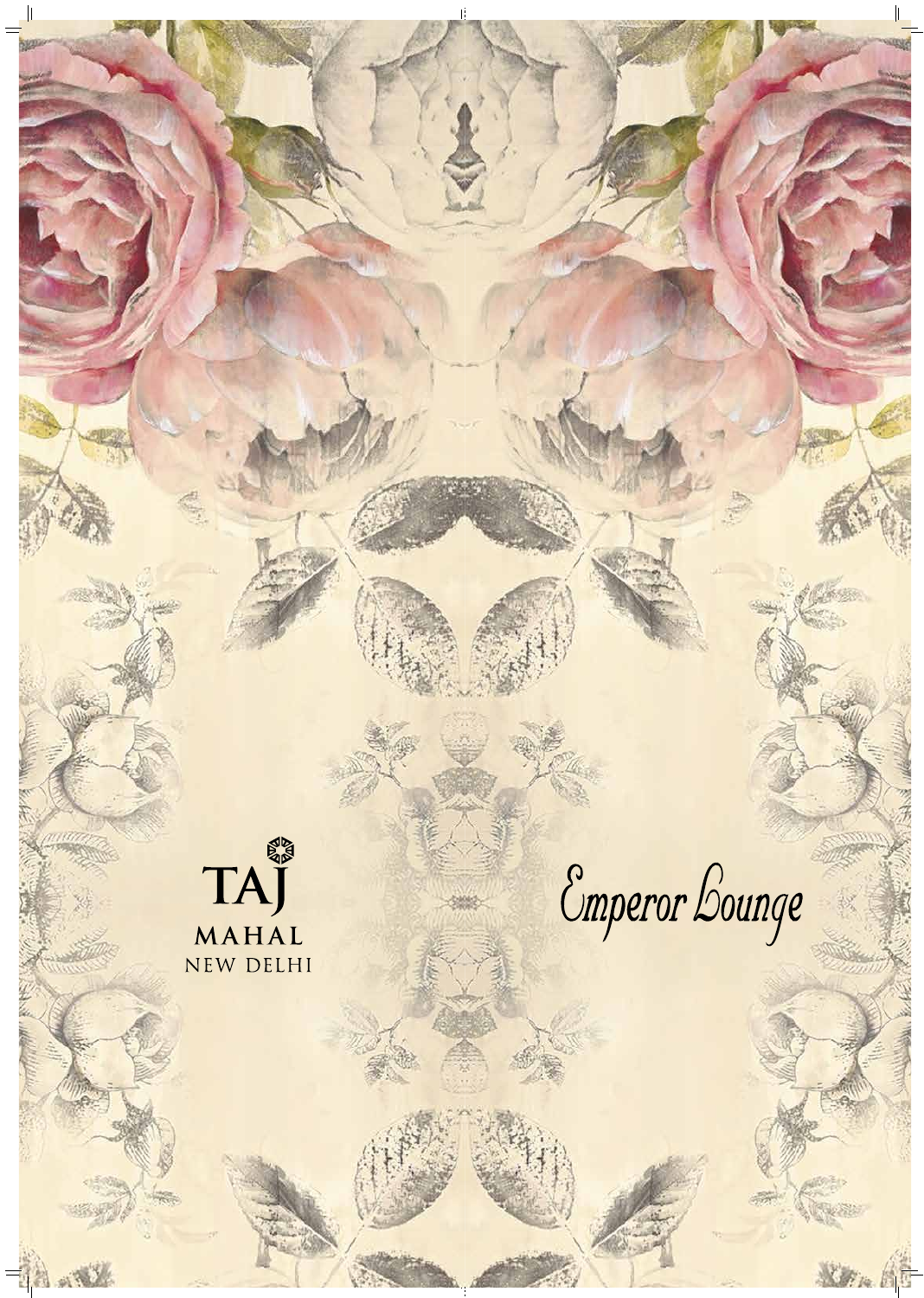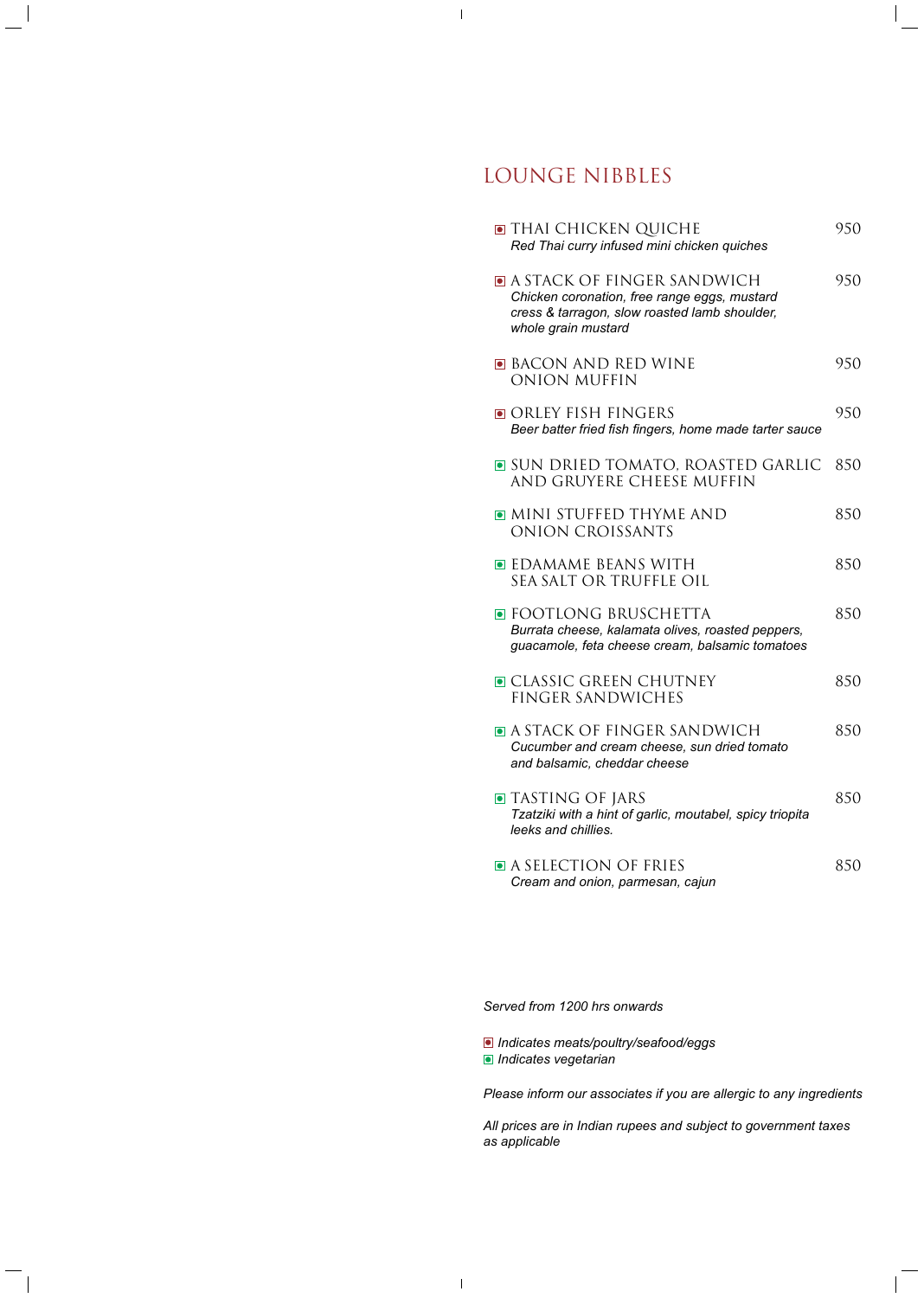# LOUNGE NIBBLES

| $\blacksquare$ thai chicken quiche<br>Red Thai curry infused mini chicken quiches                                                                                 | 950 |
|-------------------------------------------------------------------------------------------------------------------------------------------------------------------|-----|
| $\blacksquare$ a stack of finger sandwich<br>Chicken coronation, free range eggs, mustard<br>cress & tarragon, slow roasted lamb shoulder,<br>whole grain mustard | 950 |
| $\blacksquare$ Bacon and red wine<br>ONION MUFFIN                                                                                                                 | 950 |
| $\blacksquare$ orley fish fingers<br>Beer batter fried fish fingers, home made tarter sauce                                                                       | 950 |
| $\blacksquare$ sun dried tomato, roasted garlic<br>AND GRUYERE CHEESE MUFFIN                                                                                      | 850 |
| O MINI STUFFED THYME AND<br>ONION CROISSANTS                                                                                                                      | 850 |
| $\blacksquare$ EDAMAME BEANS WITH<br>SEA SALT OR TRUFFLE OIL                                                                                                      | 850 |
| ■ FOOTLONG BRUSCHETTA<br>Burrata cheese, kalamata olives, roasted peppers,<br>guacamole, feta cheese cream, balsamic tomatoes                                     | 850 |
| $\blacksquare$ classic green chutney<br>FINGER SANDWICHES                                                                                                         | 850 |
| $\blacksquare$ a stack of finger sandwich<br>Cucumber and cream cheese, sun dried tomato<br>and balsamic, cheddar cheese                                          | 850 |
| $\blacksquare$ Tasting of Jars<br>Tzatziki with a hint of garlic, moutabel, spicy triopita<br>leeks and chillies.                                                 | 850 |
| • A SELECTION OF FRIES<br>Cream and onion, parmesan, cajun                                                                                                        | 850 |

*Served from 1200 hrs onwards*

 $\mathbf I$ 

*Indicates meats/poultry/seafood/eggs Indicates vegetarian*

*Please inform our associates if you are allergic to any ingredients*

*All prices are in Indian rupees and subject to government taxes as applicable*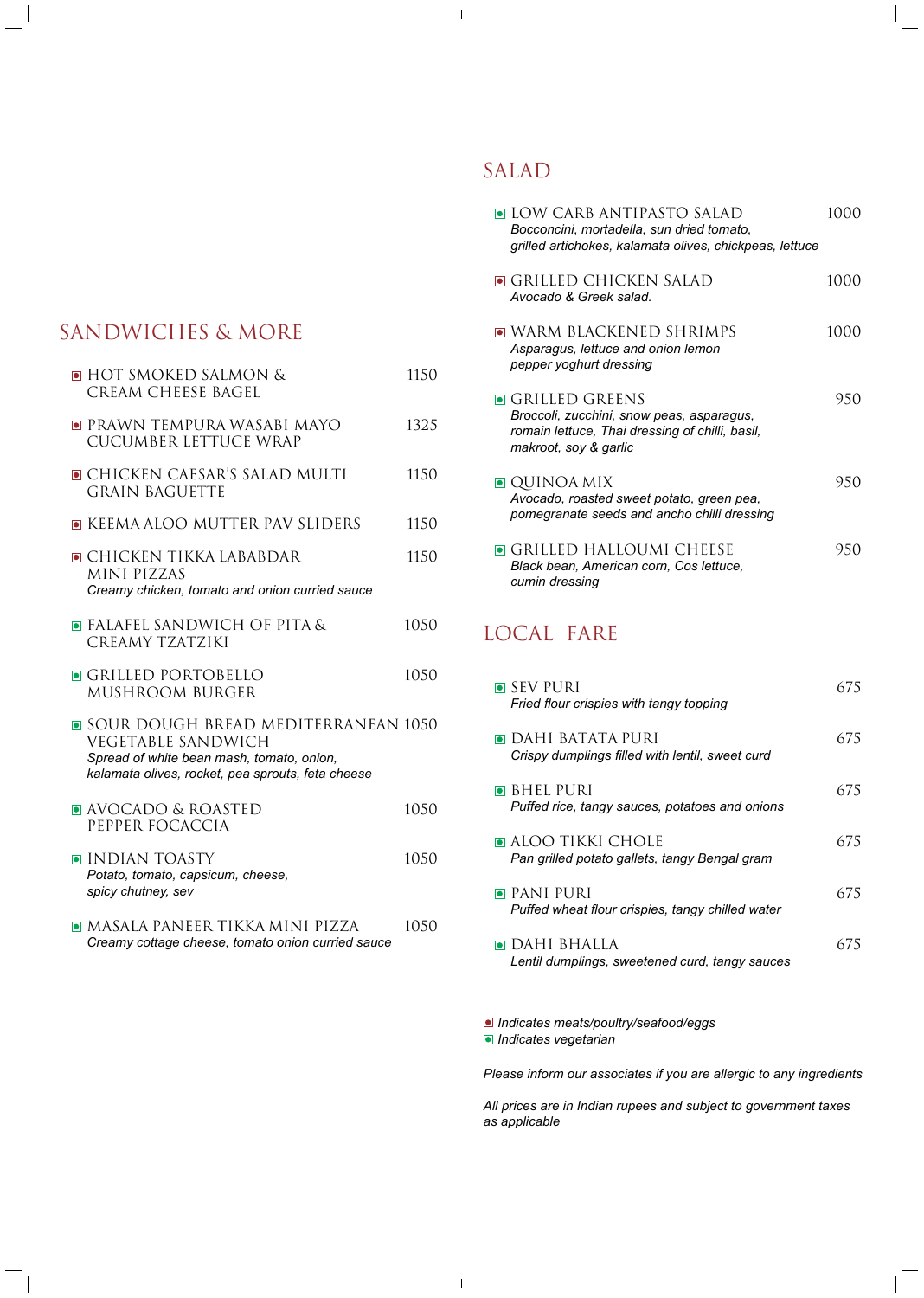# SANDWICHES & MORE

| <b>• HOT SMOKED SALMON &amp;</b><br>CREAM CHEESE BAGEL                                                                                                                     | 1150 |
|----------------------------------------------------------------------------------------------------------------------------------------------------------------------------|------|
| $\blacksquare$ PRAWN TEMPURA WASABI MAYO<br>CUCUMBER LETTUCE WRAP                                                                                                          | 1325 |
| O CHICKEN CAESAR'S SALAD MULTI<br><b>GRAIN BAGUETTE</b>                                                                                                                    | 1150 |
| <b>E</b> KEEMA ALOO MUTTER PAV SLIDERS                                                                                                                                     | 1150 |
| $\blacksquare$ Chicken tikka lababdar<br>MINI PIZZAS<br>Creamy chicken, tomato and onion curried sauce                                                                     | 1150 |
| $\blacksquare$ Falafel sandwich of pita &<br>CREAMY TZATZIKI                                                                                                               | 1050 |
| <b>GRILLED PORTOBELLO</b><br>MUSHROOM BURGER                                                                                                                               | 1050 |
| $\blacksquare$ sour dough bread mediterranean 1050<br>VEGETABLE SANDWICH<br>Spread of white bean mash, tomato, onion,<br>kalamata olives, rocket, pea sprouts, feta cheese |      |
| <b>• AVOCADO &amp; ROASTED</b><br>PEPPER FOCACCIA                                                                                                                          | 1050 |
| INDIAN TOASTY<br>Potato, tomato, capsicum, cheese,<br>spicy chutney, sev                                                                                                   | 1050 |
| $\blacksquare$ Masala paneer tikka mini pizza<br>Creamy cottage cheese, tomato onion curried sauce                                                                         | 1050 |

# SALAD

| $\blacksquare$ LOW CARB ANTIPASTO SALAD<br>Bocconcini, mortadella, sun dried tomato,<br>grilled artichokes, kalamata olives, chickpeas, lettuce  | 1000 |
|--------------------------------------------------------------------------------------------------------------------------------------------------|------|
| $\blacksquare$ Grilled Chicken Salad<br>Avocado & Greek salad.                                                                                   | 1000 |
| $\blacksquare$ warm blackened shrimps<br>Asparagus, lettuce and onion lemon<br>pepper yoghurt dressing                                           | 1000 |
| <b>O</b> GRILLED GREENS<br>Broccoli, zucchini, snow peas, asparagus,<br>romain lettuce, Thai dressing of chilli, basil,<br>makroot, soy & garlic | 950  |
| $\blacksquare$ QUINOA MIX<br>Avocado, roasted sweet potato, green pea,<br>pomegranate seeds and ancho chilli dressing                            | 950  |
| $\blacksquare$ Grilled Halloumi Cheese<br>Black bean, American corn, Cos lettuce,<br>cumin dressing                                              | 950  |
| LOCAL FARE                                                                                                                                       |      |
| $\blacksquare$ SEV PURI<br>Fried flour crispies with tangy topping                                                                               | 675  |
| $\blacksquare$ DAHI BATATA PURI<br>Crispy dumplings filled with lentil, sweet curd                                                               | 675  |
| $\blacksquare$ BHEL PURI<br>Puffed rice, tangy sauces, potatoes and onions                                                                       | 675  |
| $\blacksquare$ aloo tikki chole<br>Pan grilled potato gallets, tangy Bengal gram                                                                 | 675  |
| $\blacksquare$ PANI PURI<br>Puffed wheat flour crispies, tangy chilled water                                                                     | 675  |
| $\blacksquare$ DAHI BHALLA                                                                                                                       | 675  |

*Lentil dumplings, sweetened curd, tangy sauces*

*Indicates meats/poultry/seafood/eggs Indicates vegetarian*

 $\mathbf I$ 

*Please inform our associates if you are allergic to any ingredients*

*All prices are in Indian rupees and subject to government taxes as applicable*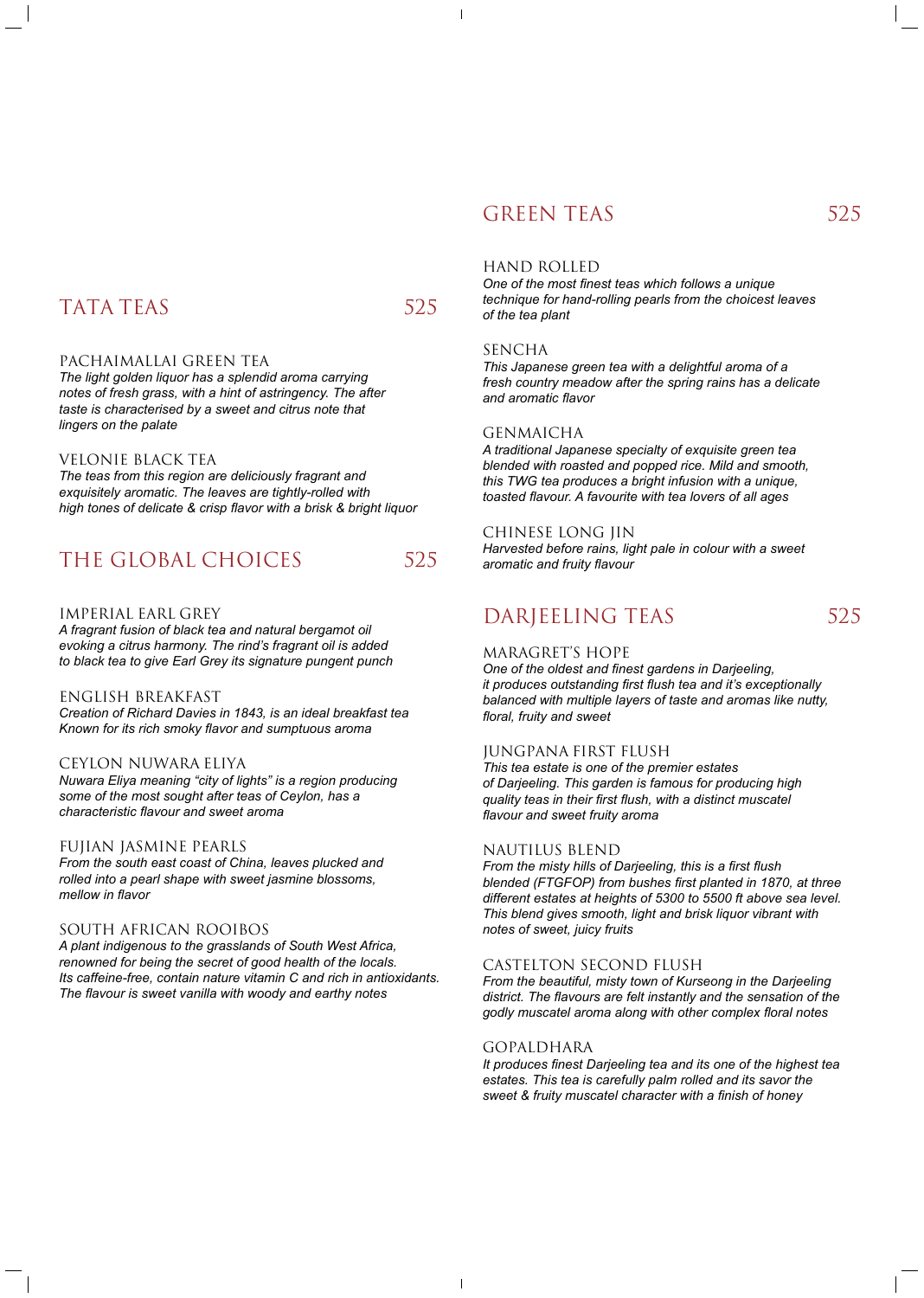# GREEN TEAS 525

# TATA TEAS 525

 $\overline{\phantom{a}}$ 

### PACHAIMALLAI GREEN TEA

*The light golden liquor has a splendid aroma carrying notes of fresh grass, with a hint of astringency. The after taste is characterised by a sweet and citrus note that lingers on the palate*

#### VELONIE BLACK TEA

*The teas from this region are deliciously fragrant and exquisitely aromatic. The leaves are tightly-rolled with high tones of delicate & crisp flavor with a brisk & bright liquor*

# THE GLOBAL CHOICES 525

### IMPERIAL EARL GREY

*A fragrant fusion of black tea and natural bergamot oil evoking a citrus harmony. The rind's fragrant oil is added to black tea to give Earl Grey its signature pungent punch*

#### ENGLISH BREAKFAST

*Creation of Richard Davies in 1843, is an ideal breakfast tea Known for its rich smoky flavor and sumptuous aroma*

### CEYLON NUWARA ELIYA

*Nuwara Eliya meaning "city of lights" is a region producing some of the most sought after teas of Ceylon, has a characteristic flavour and sweet aroma*

#### FUJIAN JASMINE PEARLS

*From the south east coast of China, leaves plucked and rolled into a pearl shape with sweet jasmine blossoms, mellow in flavor*

#### SOUTH AFRICAN ROOIBOS

*A plant indigenous to the grasslands of South West Africa, renowned for being the secret of good health of the locals. Its caffeine-free, contain nature vitamin C and rich in antioxidants.* 

*The flavour is sweet vanilla with woody and earthy notes*

### HAND ROLLED

*One of the most finest teas which follows a unique technique for hand-rolling pearls from the choicest leaves of the tea plant*

#### SENCHA

*This Japanese green tea with a delightful aroma of a fresh country meadow after the spring rains has a delicate and aromatic flavor*

#### GENMAICHA

*A traditional Japanese specialty of exquisite green tea blended with roasted and popped rice. Mild and smooth, this TWG tea produces a bright infusion with a unique, toasted flavour. A favourite with tea lovers of all ages*

#### CHINESE LONG JIN

*Harvested before rains, light pale in colour with a sweet aromatic and fruity flavour*

# DARJEELING TEAS 525

### MARAGRET'S HOPE

*One of the oldest and finest gardens in Darjeeling, it produces outstanding first flush tea and it's exceptionally balanced with multiple layers of taste and aromas like nutty, floral, fruity and sweet*

### JUNGPANA FIRST FLUSH

*This tea estate is one of the premier estates of Darjeeling. This garden is famous for producing high quality teas in their first flush, with a distinct muscatel flavour and sweet fruity aroma*

#### NAUTILUS BLEND

*From the misty hills of Darjeeling, this is a first flush blended (FTGFOP) from bushes first planted in 1870, at three different estates at heights of 5300 to 5500 ft above sea level. This blend gives smooth, light and brisk liquor vibrant with notes of sweet, juicy fruits*

### CASTELTON SECOND FLUSH

*From the beautiful, misty town of Kurseong in the Darjeeling* 

*district. The flavours are felt instantly and the sensation of the godly muscatel aroma along with other complex floral notes*

#### GOPALDHARA

 $\overline{\phantom{a}}$ 

*It produces finest Darjeeling tea and its one of the highest tea estates. This tea is carefully palm rolled and its savor the sweet & fruity muscatel character with a finish of honey*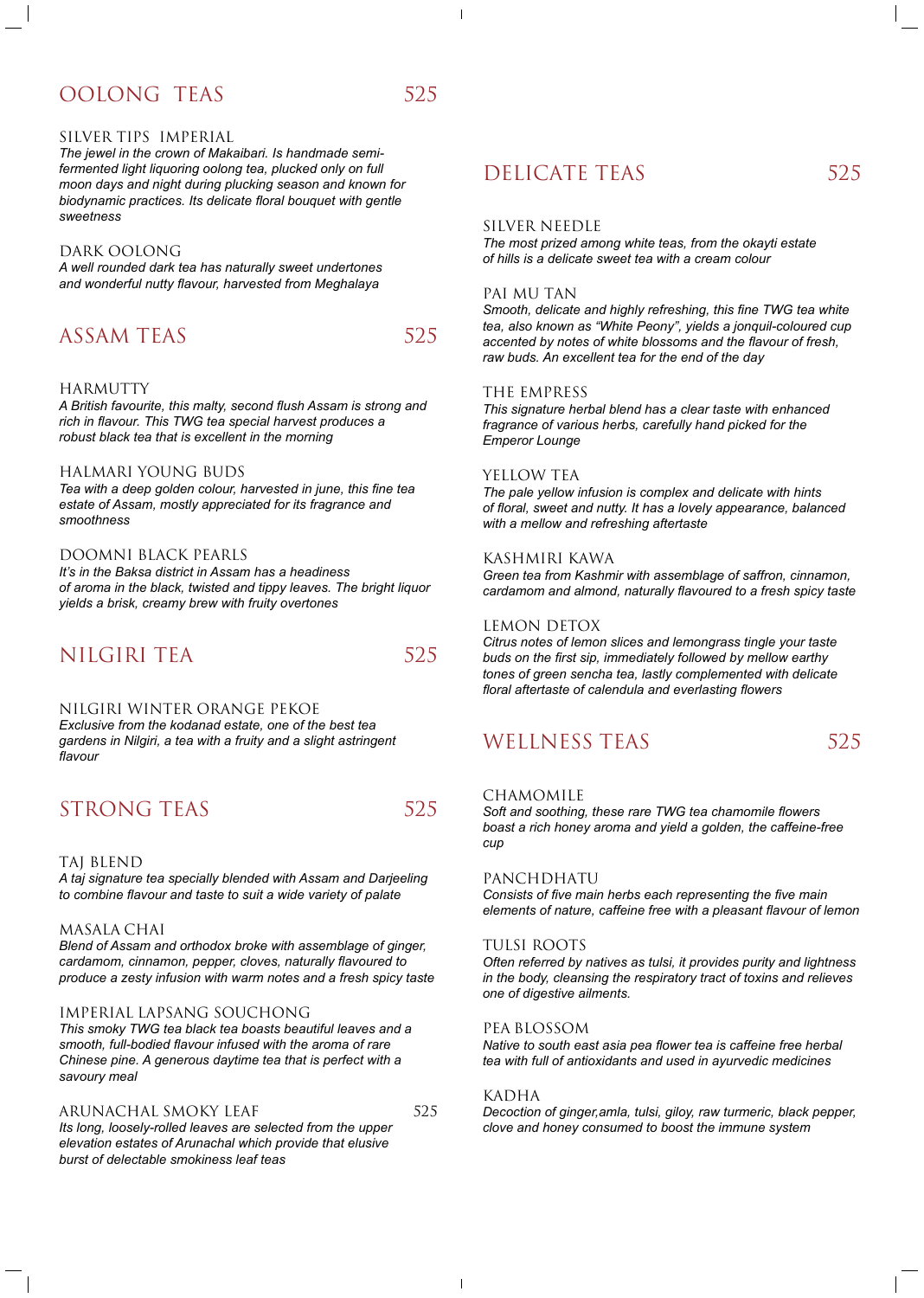# OOLONG TEAS 525

 $\mathbf{I}$ 

#### SILVER TIPS IMPERIAL

*The jewel in the crown of Makaibari. Is handmade semifermented light liquoring oolong tea, plucked only on full moon days and night during plucking season and known for biodynamic practices. Its delicate floral bouquet with gentle sweetness*

#### DARK OOLONG

*A well rounded dark tea has naturally sweet undertones and wonderful nutty flavour, harvested from Meghalaya*

## ASSAM TEAS 525

#### HARMUTTY

*A British favourite, this malty, second flush Assam is strong and rich in flavour. This TWG tea special harvest produces a robust black tea that is excellent in the morning*

#### HALMARI YOUNG BUDS

*Tea with a deep golden colour, harvested in june, this fine tea estate of Assam, mostly appreciated for its fragrance and smoothness*

#### DOOMNI BLACK PEARLS

*It's in the Baksa district in Assam has a headiness of aroma in the black, twisted and tippy leaves. The bright liquor yields a brisk, creamy brew with fruity overtones*

## NILGIRI TEA 525

#### NILGIRI WINTER ORANGE PEKOE

*Exclusive from the kodanad estate, one of the best tea gardens in Nilgiri, a tea with a fruity and a slight astringent flavour*

# STRONG TEAS 525

#### TAJ BLEND

*A taj signature tea specially blended with Assam and Darjeeling to combine flavour and taste to suit a wide variety of palate*

#### MASALA CHAI

*Blend of Assam and orthodox broke with assemblage of ginger, cardamom, cinnamon, pepper, cloves, naturally flavoured to produce a zesty infusion with warm notes and a fresh spicy taste*

# DELICATE TEAS 525

### IMPERIAL LAPSANG SOUCHONG

*This smoky TWG tea black tea boasts beautiful leaves and a smooth, full-bodied flavour infused with the aroma of rare Chinese pine. A generous daytime tea that is perfect with a savoury meal*

#### ARUNACHAL SMOKY LEAF 525

 $\overline{\phantom{a}}$ 

*Its long, loosely-rolled leaves are selected from the upper elevation estates of Arunachal which provide that elusive burst of delectable smokiness leaf teas*

#### SILVER NEEDLE

*The most prized among white teas, from the okayti estate of hills is a delicate sweet tea with a cream colour*

#### PAI MU TAN

*Smooth, delicate and highly refreshing, this fine TWG tea white tea, also known as "White Peony", yields a jonquil-coloured cup accented by notes of white blossoms and the flavour of fresh, raw buds. An excellent tea for the end of the day*

#### THE EMPRESS

*This signature herbal blend has a clear taste with enhanced fragrance of various herbs, carefully hand picked for the Emperor Lounge*

#### YELLOW TEA

*The pale yellow infusion is complex and delicate with hints of floral, sweet and nutty. It has a lovely appearance, balanced with a mellow and refreshing aftertaste*

#### KASHMIRI KAWA

*Green tea from Kashmir with assemblage of saffron, cinnamon, cardamom and almond, naturally flavoured to a fresh spicy taste*

#### LEMON DETOX

*Citrus notes of lemon slices and lemongrass tingle your taste buds on the first sip, immediately followed by mellow earthy tones of green sencha tea, lastly complemented with delicate floral aftertaste of calendula and everlasting flowers*

# WELLNESS TEAS 525

#### CHAMOMILE

*Soft and soothing, these rare TWG tea chamomile flowers boast a rich honey aroma and yield a golden, the caffeine-free cup*

#### PANCHDHATU

*Consists of five main herbs each representing the five main elements of nature, caffeine free with a pleasant flavour of lemon*

#### TULSI ROOTS

*Often referred by natives as tulsi, it provides purity and lightness in the body, cleansing the respiratory tract of toxins and relieves* 

#### *one of digestive ailments.*

#### PEA BLOSSOM

*Native to south east asia pea flower tea is caffeine free herbal tea with full of antioxidants and used in ayurvedic medicines*

#### KADHA

*Decoction of ginger,amla, tulsi, giloy, raw turmeric, black pepper, clove and honey consumed to boost the immune system*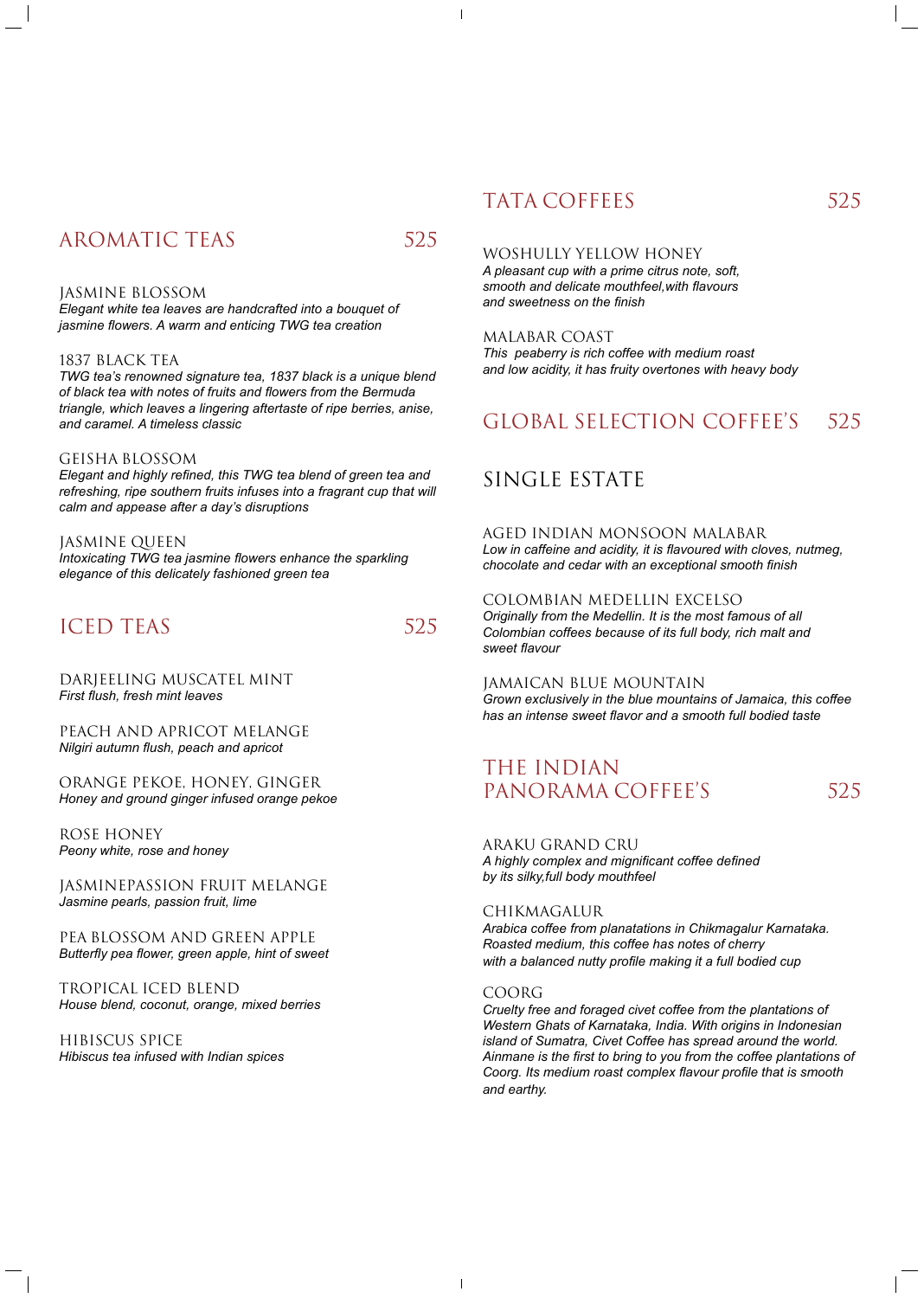# AROMATIC TEAS 525

 $\mathbf{I}$ 

#### JASMINE BLOSSOM

*Elegant white tea leaves are handcrafted into a bouquet of jasmine flowers. A warm and enticing TWG tea creation*

#### 1837 BLACK TEA

*TWG tea's renowned signature tea, 1837 black is a unique blend of black tea with notes of fruits and flowers from the Bermuda triangle, which leaves a lingering aftertaste of ripe berries, anise, and caramel. A timeless classic*

#### GEISHA BLOSSOM

*Elegant and highly refined, this TWG tea blend of green tea and refreshing, ripe southern fruits infuses into a fragrant cup that will calm and appease after a day's disruptions*

### JASMINE QUEEN

*Intoxicating TWG tea jasmine flowers enhance the sparkling elegance of this delicately fashioned green tea*

## ICED TEAS 525

#### DARJEELING MUSCATEL MINT *First flush, fresh mint leaves*

PEACH AND APRICOT MELANGE *Nilgiri autumn flush, peach and apricot*

ORANGE PEKOE, HONEY, GINGER *Honey and ground ginger infused orange pekoe*

ROSE HONEY *Peony white, rose and honey*

JASMINEPASSION FRUIT MELANGE *Jasmine pearls, passion fruit, lime*

## THE INDIAN PANORAMA COFFEE'S 525

PEA BLOSSOM AND GREEN APPLE *Butterfly pea flower, green apple, hint of sweet*

#### TROPICAL ICED BLEND *House blend, coconut, orange, mixed berries*

# TATA COFFEES 525

HIBISCUS SPICE *Hibiscus tea infused with Indian spices*

#### WOSHULLY YELLOW HONEY

*A pleasant cup with a prime citrus note, soft, smooth and delicate mouthfeel,with flavours and sweetness on the finish*

#### MALABAR COAST

*This peaberry is rich coffee with medium roast and low acidity, it has fruity overtones with heavy body*

## GLOBAL SELECTION COFFEE'S 525

## SINGLE ESTATE

#### AGED INDIAN MONSOON MALABAR

*Low in caffeine and acidity, it is flavoured with cloves, nutmeg, chocolate and cedar with an exceptional smooth finish*

#### COLOMBIAN MEDELLIN EXCELSO

*Originally from the Medellin. It is the most famous of all Colombian coffees because of its full body, rich malt and sweet flavour*

#### JAMAICAN BLUE MOUNTAIN

*Grown exclusively in the blue mountains of Jamaica, this coffee has an intense sweet flavor and a smooth full bodied taste*

ARaku GRAND CRU *A highly complex and mignificant coffee defined by its silky,full body mouthfeel*

CHIKMAGALUR

*Arabica coffee from planatations in Chikmagalur Karnataka. Roasted medium, this coffee has notes of cherry with a balanced nutty profile making it a full bodied cup*

#### COORG

 $\mathbf{I}$ 

*Cruelty free and foraged civet coffee from the plantations of Western Ghats of Karnataka, India. With origins in Indonesian island of Sumatra, Civet Coffee has spread around the world. Ainmane is the first to bring to you from the coffee plantations of Coorg. Its medium roast complex flavour profile that is smooth and earthy.*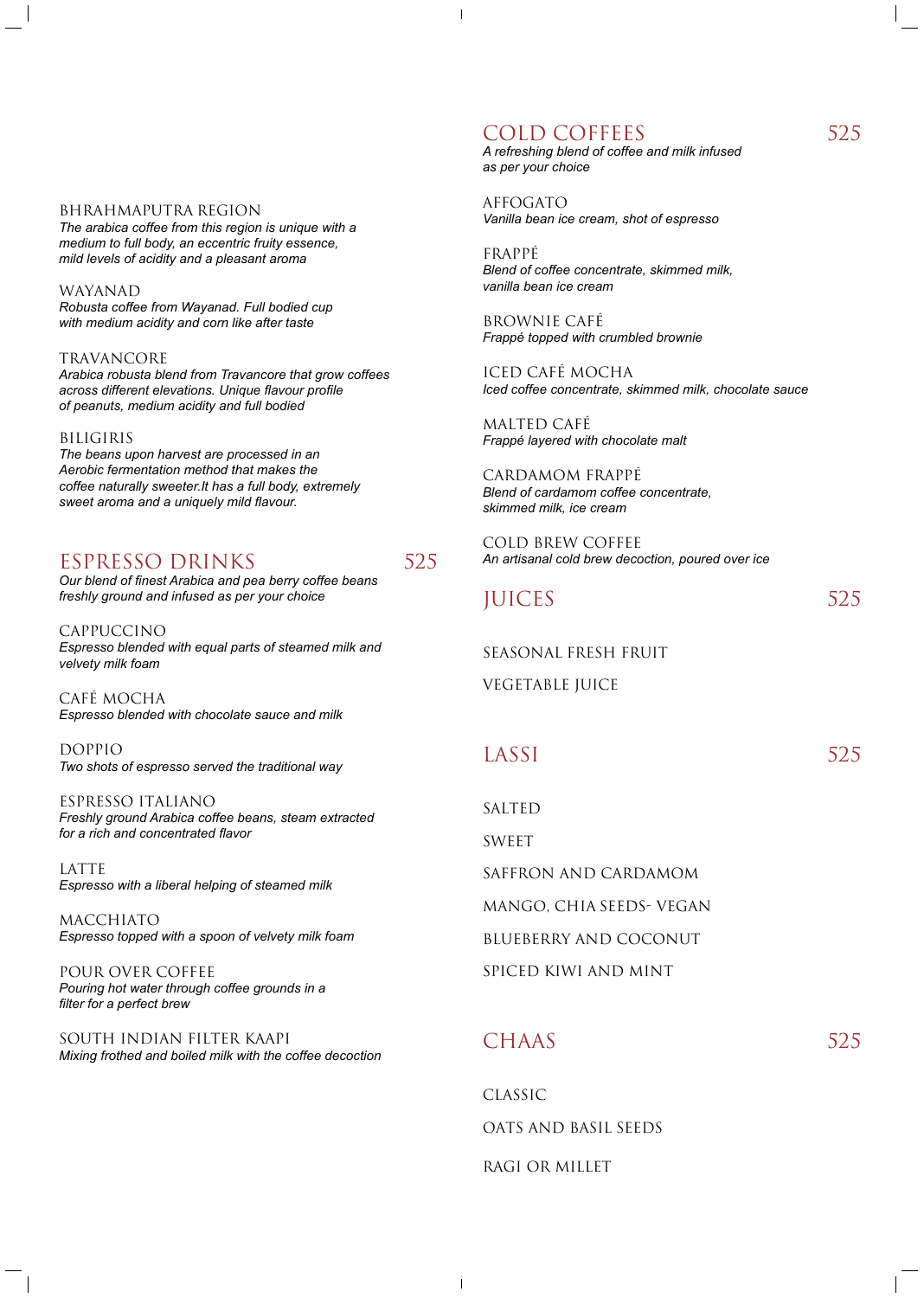#### BHRAHMAPUTRA REGION

*The arabica coffee from this region is unique with a medium to full body, an eccentric fruity essence, mild levels of acidity and a pleasant aroma*

WAYANAD *Robusta coffee from Wayanad. Full bodied cup with medium acidity and corn like after taste*

TRAVANCORE *Arabica robusta blend from Travancore that grow coffees across different elevations. Unique flavour profile of peanuts, medium acidity and full bodied*

#### BILIGIRIS

*The beans upon harvest are processed in an Aerobic fermentation method that makes the coffee naturally sweeter.It has a full body, extremely sweet aroma and a uniquely mild flavour.*

### ESPRESSO DRINKS 525

*Our blend of finest Arabica and pea berry coffee beans freshly ground and infused as per your choice*

CAPPUCCINO *Espresso blended with equal parts of steamed milk and velvety milk foam*

CAFÉ MOCHA *Espresso blended with chocolate sauce and milk*

DOPPIO *Two shots of espresso served the traditional way*

ESPRESSO ITALIANO *Freshly ground Arabica coffee beans, steam extracted for a rich and concentrated flavor*

LATTE *Espresso with a liberal helping of steamed milk*

MACCHIATO *Espresso topped with a spoon of velvety milk foam*

POUR OVER COFFEE *Pouring hot water through coffee grounds in a filter for a perfect brew*

# COLD COFFEES 525

 $\overline{\phantom{a}}$ 

SOUTH INDIAN FILTER KAAPI *Mixing frothed and boiled milk with the coffee decoction* *A refreshing blend of coffee and milk infused as per your choice*

AFFOGATO *Vanilla bean ice cream, shot of espresso*

FRAPPÉ *Blend of coffee concentrate, skimmed milk, vanilla bean ice cream*

BROWNIE CAFÉ *Frappé topped with crumbled brownie*

ICED CAFÉ MOCHA *Iced coffee concentrate, skimmed milk, chocolate sauce*

MALTED CAFÉ *Frappé layered with chocolate malt*

CARDAMOM FRAPPÉ *Blend of cardamom coffee concentrate, skimmed milk, ice cream*

COLD BREW COFFEE *An artisanal cold brew decoction, poured over ice*

JUICES 525

SEASONAL FRESH FRUIT

VEGETABLE JUICE

## LASSI 525

SALTED

SWEET

SAFFRON AND CARDAMOM

MANGO, CHIA SEEDS- VEGAN

BLUEBERRY AND COCONUT

SPICED KIWI AND MINT





CLASSIC

 $\mathbf{I}$ 

#### OATS AND BASIL SEEDS

RAGI OR MILLET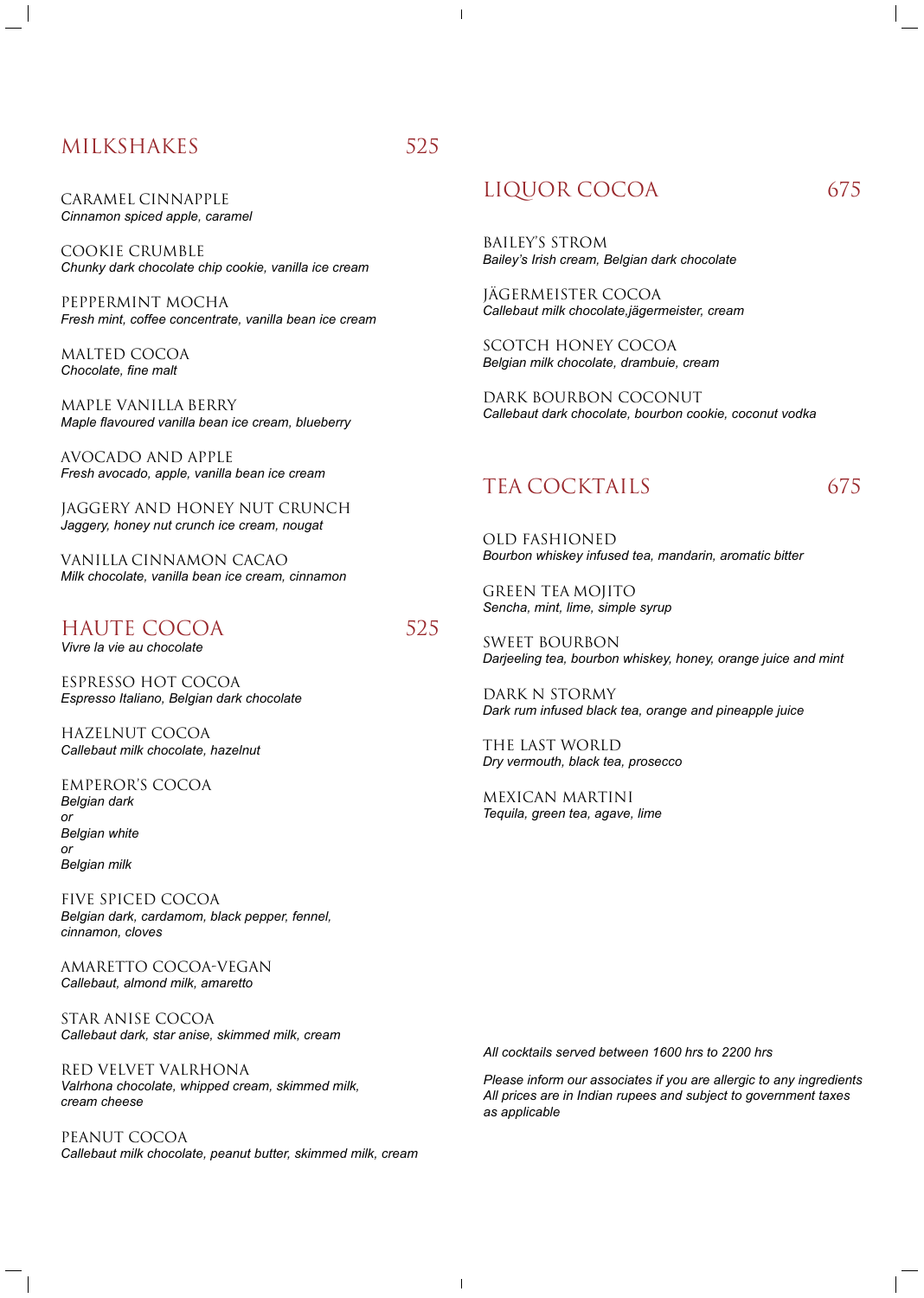# MILKSHAKES 525

#### CARAMEL CINNAPPLE *Cinnamon spiced apple, caramel*

COOKIE CRUMBLE *Chunky dark chocolate chip cookie, vanilla ice cream*

PEPPERMINT MOCHA *Fresh mint, coffee concentrate, vanilla bean ice cream*

MALTED COCOA *Chocolate, fine malt*

MAPLE VANILLA BERRY *Maple flavoured vanilla bean ice cream, blueberry*

AVoCADO AND APPLE *Fresh avocado, apple, vanilla bean ice cream*

JAGGERY AND HONEY NUT CRUNCH *Jaggery, honey nut crunch ice cream, nougat*

VANILLA CINNAMON CACAO *Milk chocolate, vanilla bean ice cream, cinnamon*

## HAUTE COCOA 525

*Vivre la vie au chocolate*

ESPRESSO HOT COCOA *Espresso Italiano, Belgian dark chocolate*

HAZELNUT COCOA *Callebaut milk chocolate, hazelnut*

EMPEROR'S COCOA *Belgian dark or Belgian white or Belgian milk* 

FIVE SPICED COCOA *Belgian dark, cardamom, black pepper, fennel, cinnamon, cloves*

AMARETTO COCOA-Vegan *Callebaut, almond milk, amaretto*

STAR ANISE COCOA *Callebaut dark, star anise, skimmed milk, cream*

RED VELVET VALRHONA

*Valrhona chocolate, whipped cream, skimmed milk, cream cheese*

PEANUT COCOA *Callebaut milk chocolate, peanut butter, skimmed milk, cream*

# LIQUOR COCOA 675

BAILEY'S STROM *Bailey's Irish cream, Belgian dark chocolate*

JÄGERMEISTER COCOA *Callebaut milk chocolate,jägermeister, cream*

SCOTCH HONEY COCOA *Belgian milk chocolate, drambuie, cream*

DARK BOURBON COCONUT *Callebaut dark chocolate, bourbon cookie, coconut vodka*

# TEA COCKTAILS 675

OLD FASHIONED *Bourbon whiskey infused tea, mandarin, aromatic bitter*

GREEN TEA MOJITO *Sencha, mint, lime, simple syrup* 

SWEET BOURBON *Darjeeling tea, bourbon whiskey, honey, orange juice and mint*

DARK N STORMY *Dark rum infused black tea, orange and pineapple juice*

THE LAST WORLD *Dry vermouth, black tea, prosecco*

MEXICAN MARTINI *Tequila, green tea, agave, lime*

 $\mathbf{I}$ 

*All cocktails served between 1600 hrs to 2200 hrs*

*Please inform our associates if you are allergic to any ingredients All prices are in Indian rupees and subject to government taxes as applicable*